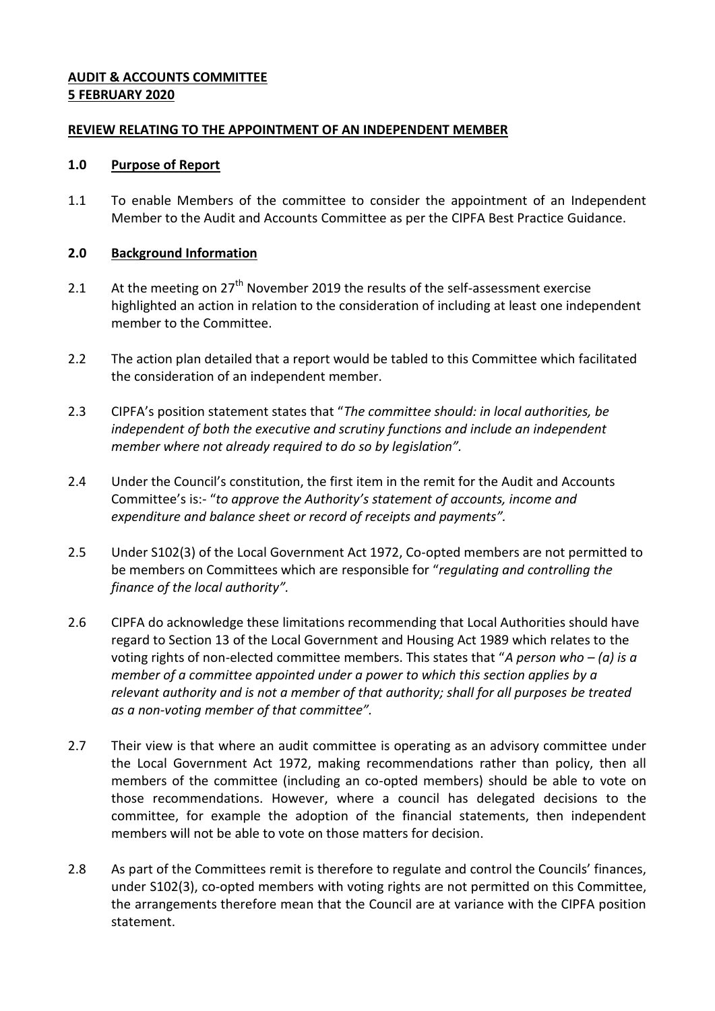# **AUDIT & ACCOUNTS COMMITTEE 5 FEBRUARY 2020**

# **REVIEW RELATING TO THE APPOINTMENT OF AN INDEPENDENT MEMBER**

### **1.0 Purpose of Report**

1.1 To enable Members of the committee to consider the appointment of an Independent Member to the Audit and Accounts Committee as per the CIPFA Best Practice Guidance.

# **2.0 Background Information**

- 2.1 At the meeting on  $27<sup>th</sup>$  November 2019 the results of the self-assessment exercise highlighted an action in relation to the consideration of including at least one independent member to the Committee.
- 2.2 The action plan detailed that a report would be tabled to this Committee which facilitated the consideration of an independent member.
- 2.3 CIPFA's position statement states that "*The committee should: in local authorities, be independent of both the executive and scrutiny functions and include an independent member where not already required to do so by legislation".*
- 2.4 Under the Council's constitution, the first item in the remit for the Audit and Accounts Committee's is:- "*to approve the Authority's statement of accounts, income and expenditure and balance sheet or record of receipts and payments".*
- 2.5 Under S102(3) of the Local Government Act 1972, Co-opted members are not permitted to be members on Committees which are responsible for "*regulating and controlling the finance of the local authority".*
- 2.6 CIPFA do acknowledge these limitations recommending that Local Authorities should have regard to Section 13 of the Local Government and Housing Act 1989 which relates to the voting rights of non-elected committee members. This states that "*A person who – (a) is a member of a committee appointed under a power to which this section applies by a relevant authority and is not a member of that authority; shall for all purposes be treated as a non-voting member of that committee".*
- 2.7 Their view is that where an audit committee is operating as an advisory committee under the Local Government Act 1972, making recommendations rather than policy, then all members of the committee (including an co-opted members) should be able to vote on those recommendations. However, where a council has delegated decisions to the committee, for example the adoption of the financial statements, then independent members will not be able to vote on those matters for decision.
- 2.8 As part of the Committees remit is therefore to regulate and control the Councils' finances, under S102(3), co-opted members with voting rights are not permitted on this Committee, the arrangements therefore mean that the Council are at variance with the CIPFA position statement.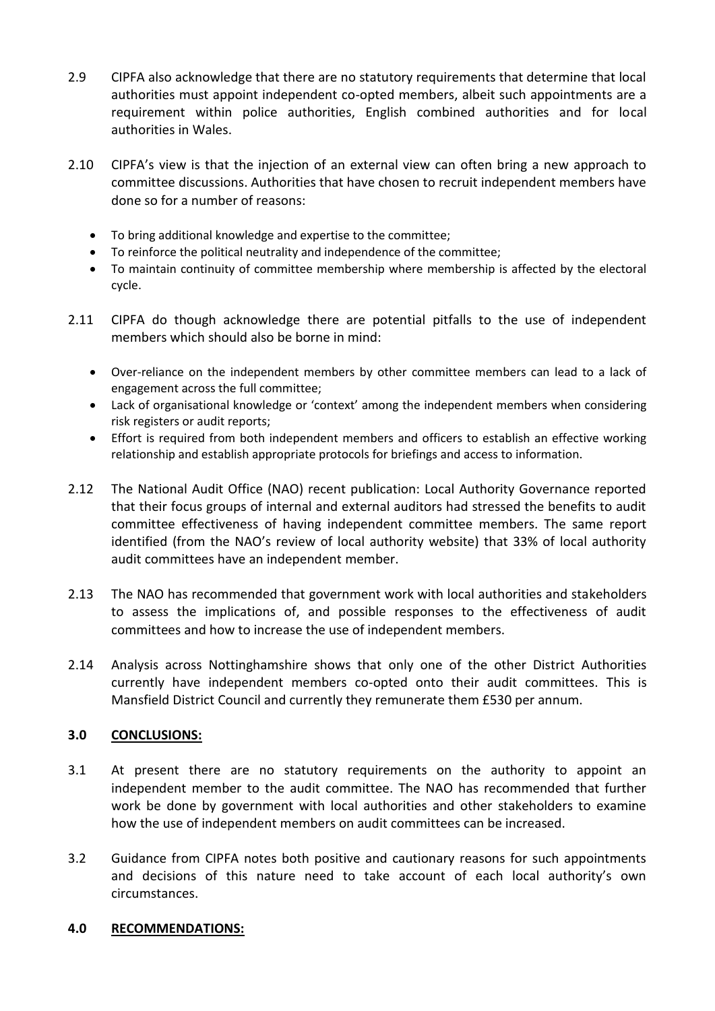- 2.9 CIPFA also acknowledge that there are no statutory requirements that determine that local authorities must appoint independent co-opted members, albeit such appointments are a requirement within police authorities, English combined authorities and for local authorities in Wales.
- 2.10 CIPFA's view is that the injection of an external view can often bring a new approach to committee discussions. Authorities that have chosen to recruit independent members have done so for a number of reasons:
	- To bring additional knowledge and expertise to the committee;
	- To reinforce the political neutrality and independence of the committee;
	- To maintain continuity of committee membership where membership is affected by the electoral cycle.
- 2.11 CIPFA do though acknowledge there are potential pitfalls to the use of independent members which should also be borne in mind:
	- Over-reliance on the independent members by other committee members can lead to a lack of engagement across the full committee;
	- Lack of organisational knowledge or 'context' among the independent members when considering risk registers or audit reports;
	- Effort is required from both independent members and officers to establish an effective working relationship and establish appropriate protocols for briefings and access to information.
- 2.12 The National Audit Office (NAO) recent publication: Local Authority Governance reported that their focus groups of internal and external auditors had stressed the benefits to audit committee effectiveness of having independent committee members. The same report identified (from the NAO's review of local authority website) that 33% of local authority audit committees have an independent member.
- 2.13 The NAO has recommended that government work with local authorities and stakeholders to assess the implications of, and possible responses to the effectiveness of audit committees and how to increase the use of independent members.
- 2.14 Analysis across Nottinghamshire shows that only one of the other District Authorities currently have independent members co-opted onto their audit committees. This is Mansfield District Council and currently they remunerate them £530 per annum.

# **3.0 CONCLUSIONS:**

- 3.1 At present there are no statutory requirements on the authority to appoint an independent member to the audit committee. The NAO has recommended that further work be done by government with local authorities and other stakeholders to examine how the use of independent members on audit committees can be increased.
- 3.2 Guidance from CIPFA notes both positive and cautionary reasons for such appointments and decisions of this nature need to take account of each local authority's own circumstances.

### **4.0 RECOMMENDATIONS:**